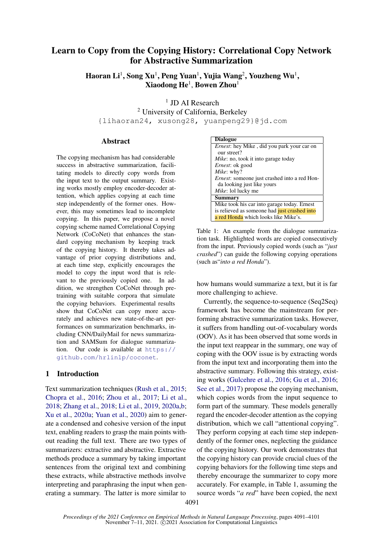# Learn to Copy from the Copying History: Correlational Copy Network for Abstractive Summarization

Haoran Li $^1$ , Song Xu $^1$ , Peng Yuan $^1$ , Yujia Wang $^2$ , Youzheng Wu $^1$ ,  $\mathbf X$ iaodong  $\mathbf H\mathbf e^1$ , Bowen Zhou $^1$ 

<sup>1</sup> JD AI Research <sup>2</sup> University of California, Berkeley {lihaoran24, xusong28, yuanpeng29}@jd.com

# **Abstract**

The copying mechanism has had considerable success in abstractive summarization, facilitating models to directly copy words from the input text to the output summary. Existing works mostly employ encoder-decoder attention, which applies copying at each time step independently of the former ones. However, this may sometimes lead to incomplete copying. In this paper, we propose a novel copying scheme named Correlational Copying Network (CoCoNet) that enhances the standard copying mechanism by keeping track of the copying history. It thereby takes advantage of prior copying distributions and, at each time step, explicitly encourages the model to copy the input word that is relevant to the previously copied one. In addition, we strengthen CoCoNet through pretraining with suitable corpora that simulate the copying behaviors. Experimental results show that CoCoNet can copy more accurately and achieves new state-of-the-art performances on summarization benchmarks, including CNN/DailyMail for news summarization and SAMSum for dialogue summarization. Our code is available at [https://](https://github.com/hrlinlp/coconet) [github.com/hrlinlp/coconet](https://github.com/hrlinlp/coconet).

### 1 Introduction

Text summarization techniques [\(Rush et al.,](#page-9-0) [2015;](#page-9-0) [Chopra et al.,](#page-8-0) [2016;](#page-8-0) [Zhou et al.,](#page-10-0) [2017;](#page-10-0) [Li et al.,](#page-8-1) [2018;](#page-8-1) [Zhang et al.,](#page-9-1) [2018;](#page-9-1) [Li et al.,](#page-8-2) [2019,](#page-8-2) [2020a](#page-8-3)[,b;](#page-8-4) [Xu et al.,](#page-9-2) [2020a;](#page-9-2) [Yuan et al.,](#page-9-3) [2020\)](#page-9-3) aim to generate a condensed and cohesive version of the input text, enabling readers to grasp the main points without reading the full text. There are two types of summarizers: extractive and abstractive. Extractive methods produce a summary by taking important sentences from the original text and combining these extracts, while abstractive methods involve interpreting and paraphrasing the input when generating a summary. The latter is more similar to

<span id="page-0-0"></span>

| <b>Dialogue</b>                                      |
|------------------------------------------------------|
| <i>Ernest</i> : hey Mike, did you park your car on   |
| our street?                                          |
| <i>Mike</i> : no, took it into garage today          |
| <i>Ernest</i> : ok good                              |
| <i>Mike</i> : why?                                   |
| <i>Ernest</i> : someone just crashed into a red Hon- |
| da looking just like yours                           |
| <i>Mike</i> : lol lucky me                           |
| Summary                                              |
| Mike took his car into garage today. Ernest          |
| is relieved as someone had just crashed into         |
| a red Honda which looks like Mike's.                 |

Table 1: An example from the dialogue summarization task. Highlighted words are copied consecutively from the input. Previously copied words (such as "*just crashed*") can guide the following copying operations (such as"*into a red Honda*").

how humans would summarize a text, but it is far more challenging to achieve.

Currently, the sequence-to-sequence (Seq2Seq) framework has become the mainstream for performing abstractive summarization tasks. However, it suffers from handling out-of-vocabulary words (OOV). As it has been observed that some words in the input text reappear in the summary, one way of coping with the OOV issue is by extracting words from the input text and incorporating them into the abstractive summary. Following this strategy, existing works [\(Gulcehre et al.,](#page-8-5) [2016;](#page-8-5) [Gu et al.,](#page-8-6) [2016;](#page-8-6) [See et al.,](#page-9-4) [2017\)](#page-9-4) propose the copying mechanism, which copies words from the input sequence to form part of the summary. These models generally regard the encoder-decoder attention as the copying distribution, which we call "attentional copying". They perform copying at each time step independently of the former ones, neglecting the guidance of the copying history. Our work demonstrates that the copying history can provide crucial clues of the copying behaviors for the following time steps and thereby encourage the summarizer to copy more accurately. For example, in Table 1, assuming the source words "*a red*" have been copied, the next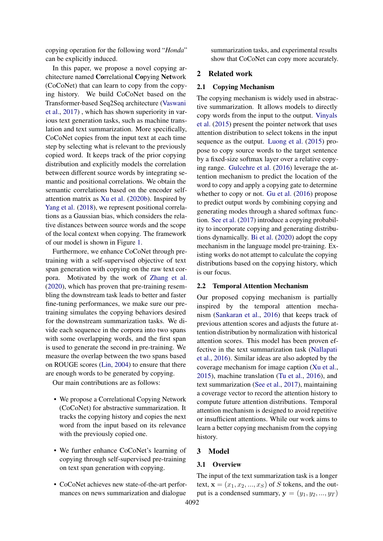copying operation for the following word "*Honda*" can be explicitly induced.

In this paper, we propose a novel copying architecture named Correlational Copying Network (CoCoNet) that can learn to copy from the copying history. We build CoCoNet based on the Transformer-based Seq2Seq architecture [\(Vaswani](#page-9-5) [et al.,](#page-9-5) [2017\)](#page-9-5) , which has shown superiority in various text generation tasks, such as machine translation and text summarization. More specifically, CoCoNet copies from the input text at each time step by selecting what is relevant to the previously copied word. It keeps track of the prior copying distribution and explicitly models the correlation between different source words by integrating semantic and positional correlations. We obtain the semantic correlations based on the encoder selfattention matrix as [Xu et al.](#page-9-6) [\(2020b\)](#page-9-6). Inspired by [Yang et al.](#page-9-7) [\(2018\)](#page-9-7), we represent positional correlations as a Gaussian bias, which considers the relative distances between source words and the scope of the local context when copying. The framework of our model is shown in Figure [1.](#page-2-0)

Furthermore, we enhance CoCoNet through pretraining with a self-supervised objective of text span generation with copying on the raw text corpora. Motivated by the work of [Zhang et al.](#page-10-1) [\(2020\)](#page-10-1), which has proven that pre-training resembling the downstream task leads to better and faster fine-tuning performances, we make sure our pretraining simulates the copying behaviors desired for the downstream summarization tasks. We divide each sequence in the corpora into two spans with some overlapping words, and the first span is used to generate the second in pre-training. We measure the overlap between the two spans based on ROUGE scores [\(Lin,](#page-8-7) [2004\)](#page-8-7) to ensure that there are enough words to be generated by copying.

Our main contributions are as follows:

- We propose a Correlational Copying Network (CoCoNet) for abstractive summarization. It tracks the copying history and copies the next word from the input based on its relevance with the previously copied one.
- We further enhance CoCoNet's learning of copying through self-supervised pre-training on text span generation with copying.
- CoCoNet achieves new state-of-the-art performances on news summarization and dialogue

summarization tasks, and experimental results show that CoCoNet can copy more accurately.

### 2 Related work

#### 2.1 Copying Mechanism

The copying mechanism is widely used in abstractive summarization. It allows models to directly copy words from the input to the output. [Vinyals](#page-9-8) [et al.](#page-9-8) [\(2015\)](#page-9-8) present the pointer network that uses attention distribution to select tokens in the input sequence as the output. [Luong et al.](#page-8-8) [\(2015\)](#page-8-8) propose to copy source words to the target sentence by a fixed-size softmax layer over a relative copying range. [Gulcehre et al.](#page-8-5) [\(2016\)](#page-8-5) leverage the attention mechanism to predict the location of the word to copy and apply a copying gate to determine whether to copy or not. [Gu et al.](#page-8-6) [\(2016\)](#page-8-6) propose to predict output words by combining copying and generating modes through a shared softmax function. [See et al.](#page-9-4) [\(2017\)](#page-9-4) introduce a copying probability to incorporate copying and generating distributions dynamically. [Bi et al.](#page-8-9) [\(2020\)](#page-8-9) adopt the copy mechanism in the language model pre-training. Existing works do not attempt to calculate the copying distributions based on the copying history, which is our focus.

# 2.2 Temporal Attention Mechanism

Our proposed copying mechanism is partially inspired by the temporal attention mechanism [\(Sankaran et al.,](#page-9-9) [2016\)](#page-9-9) that keeps track of previous attention scores and adjusts the future attention distribution by normalization with historical attention scores. This model has been proven effective in the text summarization task [\(Nallapati](#page-9-10) [et al.,](#page-9-10) [2016\)](#page-9-10). Similar ideas are also adopted by the coverage mechanism for image caption [\(Xu et al.,](#page-9-11) [2015\)](#page-9-11), machine translation [\(Tu et al.,](#page-9-12) [2016\)](#page-9-12), and text summarization [\(See et al.,](#page-9-4) [2017\)](#page-9-4), maintaining a coverage vector to record the attention history to compute future attention distributions. Temporal attention mechanism is designed to avoid repetitive or insufficient attentions. While our work aims to learn a better copying mechanism from the copying history.

### 3 Model

#### 3.1 Overview

The input of the text summarization task is a longer text,  $\mathbf{x} = (x_1, x_2, ..., x_S)$  of S tokens, and the output is a condensed summary,  $y = (y_1, y_2, ..., y_T)$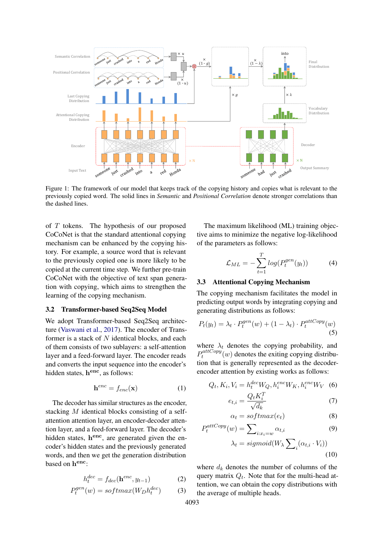<span id="page-2-0"></span>

Figure 1: The framework of our model that keeps track of the copying history and copies what is relevant to the previously copied word. The solid lines in *Semantic* and *Positional Correlation* denote stronger correlations than the dashed lines.

of  $T$  tokens. The hypothesis of our proposed CoCoNet is that the standard attentional copying mechanism can be enhanced by the copying history. For example, a source word that is relevant to the previously copied one is more likely to be copied at the current time step. We further pre-train CoCoNet with the objective of text span generation with copying, which aims to strengthen the learning of the copying mechanism.

#### 3.2 Transformer-based Seq2Seq Model

We adopt Transformer-based Seq2Seq architecture [\(Vaswani et al.,](#page-9-5) [2017\)](#page-9-5). The encoder of Transformer is a stack of  $N$  identical blocks, and each of them consists of two sublayers: a self-attention layer and a feed-forward layer. The encoder reads and converts the input sequence into the encoder's hidden states, h<sup>enc</sup>, as follows:

$$
\mathbf{h}^{enc} = f_{enc}(\mathbf{x}) \tag{1}
$$

The decoder has similar structures as the encoder, stacking M identical blocks consisting of a selfattention attention layer, an encoder-decoder attention layer, and a feed-forward layer. The decoder's hidden states, henc, are generated given the encoder's hidden states and the previously generated words, and then we get the generation distribution based on  $h^{enc}$ :

$$
h_t^{dec} = f_{dec}(\mathbf{h}^{enc}, y_{t-1})
$$
 (2)

$$
P_t^{gen}(w) = softmax(W_D h_t^{dec})
$$
 (3)

The maximum likelihood (ML) training objective aims to minimize the negative log-likelihood of the parameters as follows:

$$
\mathcal{L}_{ML} = -\sum_{t=1}^{T} log(P_t^{gen}(y_t))
$$
 (4)

# 3.3 Attentional Copying Mechanism

The copying mechanism facilitates the model in predicting output words by integrating copying and generating distributions as follows:

$$
P_t(y_t) = \lambda_t \cdot P_t^{gen}(w) + (1 - \lambda_t) \cdot P_t^{attCopy}(w)
$$
\n(5)

where  $\lambda_t$  denotes the copying probability, and  $P_t^{attCopy}$  $t_t^{lattice}$  (w) denotes the exiting copying distribution that is generally represented as the decoderencoder attention by existing works as follows:

$$
Q_t, K_i, V_i = h_t^{dec} W_Q, h_i^{enc} W_K, h_i^{enc} W_V
$$
 (6)

<span id="page-2-1"></span>
$$
e_{t,i} = \frac{Q_t K_i^T}{\sqrt{d_k}}\tag{7}
$$

$$
\alpha_t = softmax(e_t) \tag{8}
$$

$$
P_t^{attCopy}(w) = \sum_{i:x_i=w} \alpha_{t,i} \tag{9}
$$

$$
\lambda_t = sigmoid(W_{\lambda} \sum_{i} (\alpha_{t,i} \cdot V_i))
$$
\n(10)

where  $d_k$  denotes the number of columns of the query matrix  $Q_t$ . Note that for the multi-head attention, we can obtain the copy distributions with the average of multiple heads.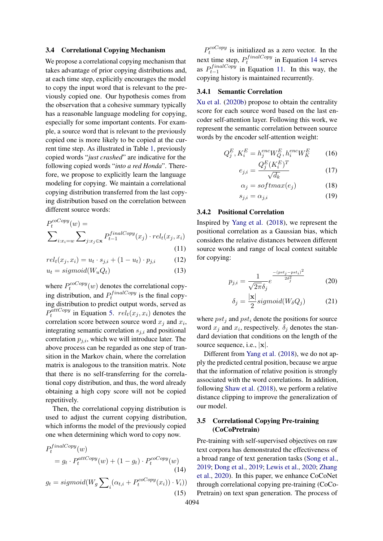#### 3.4 Correlational Copying Mechanism

We propose a correlational copying mechanism that takes advantage of prior copying distributions and, at each time step, explicitly encourages the model to copy the input word that is relevant to the previously copied one. Our hypothesis comes from the observation that a cohesive summary typically has a reasonable language modeling for copying, especially for some important contents. For example, a source word that is relevant to the previously copied one is more likely to be copied at the current time step. As illustrated in Table [1,](#page-0-0) previously copied words "*just crashed*" are indicative for the following copied words "*into a red Honda*". Therefore, we propose to explicitly learn the language modeling for copying. We maintain a correlational copying distribution transferred from the last copying distribution based on the correlation between different source words:

$$
P_t^{coCopy}(w) = \sum_{i:x_i=w} \sum_{j:x_j \in \mathbf{x}} P_{t-1}^{finalCopy}(x_j) \cdot rel_t(x_j, x_i)
$$
\n(11)

$$
(11)
$$

$$
rel_t(x_j, x_i) = u_t \cdot s_{j,i} + (1 - u_t) \cdot p_{j,i} \tag{12}
$$

$$
u_t = sigmoid(W_u Q_t)
$$
\n(13)

where  $P_t^{coCopy}$  $t^{c\alpha C \textit{opy}}(w)$  denotes the correlational copying distribution, and  $P_t^{finalCopy}$  $t^{final\text{Copy}}$  is the final copying distribution to predict output words, served as  $P_t^{\tilde{a}ttCopy}$  $t_t^{outCopy}$  in Equation [5.](#page-2-1)  $rel_t(x_j, x_i)$  denotes the correlation score between source word  $x_j$  and  $x_i$ , integrating semantic correlation  $s_{j,i}$  and positional correlation  $p_{j,i}$ , which we will introduce later. The above process can be regarded as one step of transition in the Markov chain, where the correlation matrix is analogous to the transition matrix. Note that there is no self-transferring for the correlational copy distribution, and thus, the word already obtaining a high copy score will not be copied repetitively.

Then, the correlational copying distribution is used to adjust the current copying distribution, which informs the model of the previously copied one when determining which word to copy now.

 $\ddot{\mathbf{r}}$  in

$$
P_t^{Inac\,opy}(w)
$$
  
=  $g_t \cdot P_t^{attCopy}(w) + (1 - g_t) \cdot P_t^{coCopy}(w)$   
(14)  

$$
g_t = sigmoid(W_g \sum_i (\alpha_{t,i} + P_t^{coCopy}(x_i)) \cdot V_i))
$$
  
(15)

 $P_t^{coCopy}$  $t_t^{ccO Copy}$  is initialized as a zero vector. In the next time step,  $P_t^{finalCopy}$  $t_t^{j}$ <sup>that</sup>  $top$  in Equation [14](#page-3-0) serves as  $P_{t-1}^{finalCopy}$  $t_{t-1}$  in Equation [11.](#page-3-1) In this way, the copying history is maintained recurrently.

#### 3.4.1 Semantic Correlation

[Xu et al.](#page-9-6) [\(2020b\)](#page-9-6) propose to obtain the centrality score for each source word based on the last encoder self-attention layer. Following this work, we represent the semantic correlation between source words by the encoder self-attention weight:

$$
Q_j^E, K_i^E = h_j^{enc} W_Q^E, h_i^{enc} W_K^E \qquad (16)
$$

$$
e_{j,i} = \frac{Q_j^E (K_i^E)^T}{\sqrt{d_k}}\tag{17}
$$

$$
\alpha_j = softmax(e_j) \tag{18}
$$

$$
s_{j,i} = \alpha_{j,i} \tag{19}
$$

### 3.4.2 Positional Correlation

<span id="page-3-1"></span>Inspired by [Yang et al.](#page-9-7) [\(2018\)](#page-9-7), we represent the positional correlation as a Gaussian bias, which considers the relative distances between different source words and range of local context suitable for copying:

$$
p_{j,i} = \frac{1}{\sqrt{2\pi}\delta_j} e^{-\frac{-(pst_j - pst_i)^2}{2\delta_j^2}}
$$
 (20)

$$
\delta_j = \frac{|\mathbf{x}|}{2} sigmoid(W_\delta Q_j)
$$
 (21)

where  $pst<sub>j</sub>$  and  $pst<sub>i</sub>$  denote the positions for source word  $x_j$  and  $x_i$ , respectively.  $\delta_j$  denotes the standard deviation that conditions on the length of the source sequence, i.e., |x|.

Different from [Yang et al.](#page-9-7) [\(2018\)](#page-9-7), we do not apply the predicted central position, because we argue that the information of relative position is strongly associated with the word correlations. In addition, following [Shaw et al.](#page-9-13) [\(2018\)](#page-9-13), we perform a relative distance clipping to improve the generalization of our model.

# 3.5 Correlational Copying Pre-training (CoCoPretrain)

<span id="page-3-0"></span>Pre-training with self-supervised objectives on raw text corpora has demonstrated the effectiveness of a broad range of text generation tasks [\(Song et al.,](#page-9-14) [2019;](#page-9-14) [Dong et al.,](#page-8-10) [2019;](#page-8-10) [Lewis et al.,](#page-8-11) [2020;](#page-8-11) [Zhang](#page-10-1) [et al.,](#page-10-1) [2020\)](#page-10-1). In this paper, we enhance CoCoNet through correlational copying pre-training (CoCo-Pretrain) on text span generation. The process of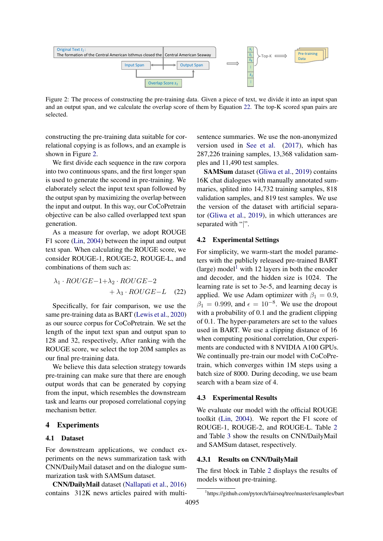<span id="page-4-1"></span>

Figure 2: The process of constructing the pre-training data. Given a piece of text, we divide it into an input span and an output span, and we calculate the overlap score of them by Equation [22.](#page-4-0) The top-K scored span pairs are selected.

constructing the pre-training data suitable for correlational copying is as follows, and an example is shown in Figure [2.](#page-4-1)

We first divide each sequence in the raw corpora into two continuous spans, and the first longer span is used to generate the second in pre-training. We elaborately select the input text span followed by the output span by maximizing the overlap between the input and output. In this way, our CoCoPretrain objective can be also called overlapped text span generation.

As a measure for overlap, we adopt ROUGE F1 score [\(Lin,](#page-8-7) [2004\)](#page-8-7) between the input and output text span. When calculating the ROUGE score, we consider ROUGE-1, ROUGE-2, ROUGE-L, and combinations of them such as:

$$
\lambda_1 \cdot ROUGE-1+\lambda_2 \cdot ROUGE-2 + \lambda_3 \cdot ROUGE-L \quad (22)
$$

Specifically, for fair comparison, we use the same pre-training data as BART [\(Lewis et al.,](#page-8-11) [2020\)](#page-8-11) as our source corpus for CoCoPretrain. We set the length of the input text span and output span to 128 and 32, respectively, After ranking with the ROUGE score, we select the top 20M samples as our final pre-training data.

We believe this data selection strategy towards pre-training can make sure that there are enough output words that can be generated by copying from the input, which resembles the downstream task and learns our proposed correlational copying mechanism better.

# 4 Experiments

# 4.1 Dataset

For downstream applications, we conduct experiments on the news summarization task with CNN/DailyMail dataset and on the dialogue summarization task with SAMSum dataset.

CNN/DailyMail dataset [\(Nallapati et al.,](#page-9-10) [2016\)](#page-9-10) contains 312K news articles paired with multisentence summaries. We use the non-anonymized version used in [See et al.](#page-9-4) [\(2017\)](#page-9-4), which has 287,226 training samples, 13,368 validation samples and 11,490 test samples.

SAMSum dataset [\(Gliwa et al.,](#page-8-12) [2019\)](#page-8-12) contains 16K chat dialogues with manually annotated summaries, splited into 14,732 training samples, 818 validation samples, and 819 test samples. We use the version of the dataset with artificial separator [\(Gliwa et al.,](#page-8-12) [2019\)](#page-8-12), in which utterances are separated with "|".

#### 4.2 Experimental Settings

<span id="page-4-0"></span>For simplicity, we warm-start the model parameters with the publicly released pre-trained BART (large) model<sup>[1](#page-4-2)</sup> with 12 layers in both the encoder and decoder, and the hidden size is 1024. The learning rate is set to 3e-5, and learning decay is applied. We use Adam optimizer with  $\beta_1 = 0.9$ ,  $\beta_1 = 0.999$ , and  $\epsilon = 10^{-8}$ . We use the dropout with a probability of 0.1 and the gradient clipping of 0.1. The hyper-parameters are set to the values used in BART. We use a clipping distance of 16 when computing positional correlation, Our experiments are conducted with 8 NVIDIA A100 GPUs. We continually pre-train our model with CoCoPretrain, which converges within 1M steps using a batch size of 8000. During decoding, we use beam search with a beam size of 4.

#### 4.3 Experimental Results

We evaluate our model with the official ROUGE toolkit [\(Lin,](#page-8-7) [2004\)](#page-8-7). We report the F1 score of ROUGE-1, ROUGE-2, and ROUGE-L. Table [2](#page-5-0) and Table [3](#page-6-0) show the results on CNN/DailyMail and SAMSum dataset, respectively.

# 4.3.1 Results on CNN/DailyMail

The first block in Table [2](#page-5-0) displays the results of models without pre-training.

<span id="page-4-2"></span><sup>1</sup> https://github.com/pytorch/fairseq/tree/master/examples/bart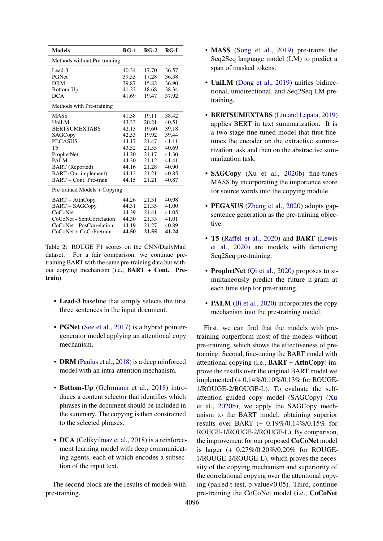<span id="page-5-0"></span>

| <b>Models</b>                | $RG-1$ | $RG-2$ | $RG-L$ |
|------------------------------|--------|--------|--------|
| Methods without Pre-training |        |        |        |
| Lead-3                       | 40.34  | 17.70  | 36.57  |
| PGNet                        | 39.53  | 17.28  | 36.38  |
| <b>DRM</b>                   | 39.87  | 15.82  | 36.90  |
| Bottom-Up                    | 41.22  | 18.68  | 38.34  |
| <b>DCA</b>                   | 41.69  | 19.47  | 37.92  |
| Methods with Pre-training    |        |        |        |
| <b>MASS</b>                  | 41.38  | 19.11  | 38.42  |
| UniLM                        | 43.33  | 20.21  | 40.51  |
| <b>BERTSUMEXTABS</b>         | 42.13  | 19.60  | 39.18  |
| SAGCopy                      | 42.53  | 19.92  | 39.44  |
| <b>PEGASUS</b>               | 44.17  | 21.47  | 41.11  |
| <b>T5</b>                    | 43.52  | 21.55  | 40.69  |
| ProphetNet                   | 44.20  | 21.17  | 41.30  |
| <b>PALM</b>                  | 44.30  | 21.12  | 41.41  |
| <b>BART</b> (Reported)       | 44.16  | 21.28  | 40.90  |
| BART (Our implement)         | 44.12  | 21.21  | 40.85  |
| BART + Cont. Pre-train       | 44.15  | 21.21  | 40.87  |
| Pre-trained Models + Copying |        |        |        |
| BART + AttnCopy              | 44.26  | 21.31  | 40.98  |
| BART + SAGCopy               | 44.31  | 21.35  | 41.00  |
| CoCoNet                      | 44.39  | 21.41  | 41.05  |
| CoCoNet - SemCorrelation     | 44.30  | 21.33  | 41.01  |
| CoCoNet - PosCorrelation     | 44.19  | 21.27  | 40.89  |
| CoCoNet + CoCoPretrain       | 44.50  | 21.55  | 41.24  |

Table 2: ROUGE F1 scores on the CNN/DailyMail dataset. For a fair comparison, we continue pretraining BART with the same pre-training data but without copying mechanism (i.e., BART + Cont. Pretrain).

- Lead-3 baseline that simply selects the first three sentences in the input document.
- **PGNet** [\(See et al.,](#page-9-4) [2017\)](#page-9-4) is a hybrid pointergenerator model applying an attentional copy mechanism.
- **DRM** [\(Paulus et al.,](#page-9-15) [2018\)](#page-9-15) is a deep reinforced model with an intra-attention mechanism.
- Bottom-Up [\(Gehrmann et al.,](#page-8-13) [2018\)](#page-8-13) introduces a content selector that identifies which phrases in the document should be included in the summary. The copying is then constrained to the selected phrases.
- DCA [\(Celikyilmaz et al.,](#page-8-14) [2018\)](#page-8-14) is a reinforcement learning model with deep communicating agents, each of which encodes a subsection of the input text.

The second block are the results of models with pre-training.

- MASS [\(Song et al.,](#page-9-14) [2019\)](#page-9-14) pre-trains the Seq2Seq language model (LM) to predict a span of masked tokens.
- UniLM [\(Dong et al.,](#page-8-10) [2019\)](#page-8-10) unifies bidirectional, unidirectional, and Seq2Seq LM pretraining.
- BERTSUMEXTABS [\(Liu and Lapata,](#page-8-15) [2019\)](#page-8-15) applies BERT in text summarization. It is a two-stage fine-tuned model that first finetunes the encoder on the extractive summarization task and then on the abstractive summarization task.
- SAGCopy [\(Xu et al.,](#page-9-6) [2020b\)](#page-9-6) fine-tunes MASS by incorporating the importance score for source words into the copying module.
- PEGASUS [\(Zhang et al.,](#page-10-1) [2020\)](#page-10-1) adopts gapsentence generation as the pre-training objective.
- T5 [\(Raffel et al.,](#page-9-16) [2020\)](#page-9-16) and BART [\(Lewis](#page-8-11) [et al.,](#page-8-11) [2020\)](#page-8-11) are models with denoising Seq2Seq pre-training.
- ProphetNet [\(Qi et al.,](#page-9-17) [2020\)](#page-9-17) proposes to simultaneously predict the future n-gram at each time step for pre-training.
- **PALM** [\(Bi et al.,](#page-8-9) [2020\)](#page-8-9) incorporates the copy mechanism into the pre-training model.

First, we can find that the models with pretraining outperform most of the models without pre-training, which shows the effectiveness of pretraining. Second, fine-tuning the BART model with attentional copying (i.e.,  $\textbf{BART} + \textbf{AttnCopy}$ ) improve the results over the original BART model we implemented (+ 0.14%/0.10%/0.13% for ROUGE-1/ROUGE-2/ROUGE-L). To evaluate the selfattention guided copy model (SAGCopy) [\(Xu](#page-9-6) [et al.,](#page-9-6) [2020b\)](#page-9-6), we apply the SAGCopy mechanism to the BART model, obtaining superior results over BART (+ 0.19%/0.14%/0.15% for ROUGE-1/ROUGE-2/ROUGE-L). By comparison, the improvement for our proposed CoCoNet model is larger (+ 0.27%/0.20%/0.20% for ROUGE-1/ROUGE-2/ROUGE-L), which proves the necessity of the copying mechanism and superiority of the correlational copying over the attentional copying (paired t-test, p-value<0.05). Third, continue pre-training the CoCoNet model (i.e., CoCoNet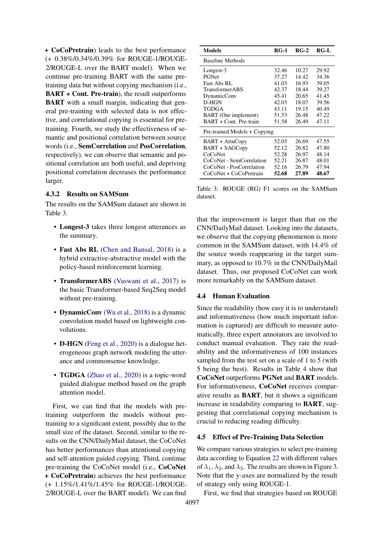+ CoCoPretrain) leads to the best performance (+ 0.38%/0.34%/0.39% for ROUGE-1/ROUGE-2/ROUGE-L over the BART model). When we continue pre-training BART with the same pretraining data but without copying mechanism (i.e., BART + Cont. Pre-train), the result outperforms BART with a small margin, indicating that general pre-training with selected data is not effective, and correlational copying is essential for pretraining. Fourth, we study the effectiveness of semantic and positional correlation between source words (i.e., SemCorrelation and PosCorrelation, respectively), we can observe that semantic and positional correlation are both useful, and depriving positional correlation decreases the performance larger.

# 4.3.2 Results on SAMSum

The results on the SAMSum dataset are shown in Table [3.](#page-6-0)

- Longest-3 takes three longest utterances as the summary.
- Fast Abs RL [\(Chen and Bansal,](#page-8-16) [2018\)](#page-8-16) is a hybrid extractive-abstractive model with the policy-based reinforcement learning.
- TransformerABS [\(Vaswani et al.,](#page-9-5) [2017\)](#page-9-5) is the basic Transformer-based Seq2Seq model without pre-training.
- DynamicConv [\(Wu et al.,](#page-9-18) [2018\)](#page-9-18) is a dynamic convolution model based on lightweight convolutions.
- **D-HGN** [\(Feng et al.,](#page-8-17) [2020\)](#page-8-17) is a dialogue heterogeneous graph network modeling the utterance and commonsense knowledge.
- TGDGA [\(Zhao et al.,](#page-10-2) [2020\)](#page-10-2) is a topic-word guided dialogue method based on the graph attention model.

First, we can find that the models with pretraining outperform the models without pretraining to a significant extent, possibly due to the small size of the dataset. Second, similar to the results on the CNN/DailyMail dataset, the CoCoNet has better performances than attentional copying and self-attention guided copying. Third, continue pre-training the CoCoNet model (i.e., CoCoNet + CoCoPretrain) achieves the best performance (+ 1.15%/1.41%/1.45% for ROUGE-1/ROUGE-2/ROUGE-L over the BART model). We can find

<span id="page-6-0"></span>

| Models                       | <b>RG-1</b> | $RG-2$ | RG-L  |
|------------------------------|-------------|--------|-------|
| Baseline Methods             |             |        |       |
| Longest-3                    | 32.46       | 10.27  | 29.92 |
| PGNet                        | 37.27       | 14.42  | 34.36 |
| Fast Abs RL                  | 41.03       | 16.93  | 39.05 |
| <b>TransformerABS</b>        | 42.37       | 18.44  | 39.27 |
| DynamicConv                  | 45.41       | 20.65  | 41.45 |
| D-HGN                        | 42.03       | 18.07  | 39.56 |
| TGDGA                        | 43.11       | 19.15  | 40.49 |
| <b>BART</b> (Our implement)  | 51.53       | 26.48  | 47.22 |
| BART + Cont. Pre-train       | 51.58       | 26.49  | 47.11 |
| Pre-trained Models + Copying |             |        |       |
| BART + AttnCopy              | 52.03       | 26.69  | 47.55 |
| <b>BART + SAGCopy</b>        | 52.12       | 26.82  | 47.80 |
| CoCoNet                      | 52.28       | 26.97  | 48.14 |
| CoCoNet - SemCorrelation     | 52.21       | 26.87  | 48.01 |
| CoCoNet - PosCorrelation     | 52.16       | 26.79  | 47.94 |
| CoCoNet + CoCoPretrain       | 52.68       | 27.89  | 48.67 |

Table 3: ROUGE (RG) F1 scores on the SAMSum dataset.

that the improvement is larger than that on the CNN/DailyMail dataset. Looking into the datasets, we observe that the copying phenomenon is more common in the SAMSum dataset, with 14.4% of the source words reappearing in the target summary, as opposed to 10.7% in the CNN/DailyMail dataset. Thus, our proposed CoCoNet can work more remarkably on the SAMSum dataset.

### 4.4 Human Evaluation

Since the readability (how easy it is to understand) and informativeness (how much important information is captured) are difficult to measure automatically, three expert annotators are involved to conduct manual evaluation. They rate the readability and the informativeness of 100 instances sampled from the test set on a scale of 1 to 5 (with 5 being the best). Results in Table [4](#page-7-0) show that CoCoNet outperforms PGNet and BART models. For informativeness, CoCoNet receives comparative results as BART, but it shows a significant increase in readability comparing to BART, suggesting that correlational copying mechanism is crucial to reducing reading difficulty.

#### 4.5 Effect of Pre-Training Data Selection

We compare various strategies to select pre-training data according to Equation [22](#page-4-0) with different values of  $\lambda_1$ ,  $\lambda_2$ , and  $\lambda_3$ . The results are shown in Figure [3.](#page-7-1) Note that the y-axes are normalized by the result of strategy only using ROUGE-1.

First, we find that strategies based on ROUGE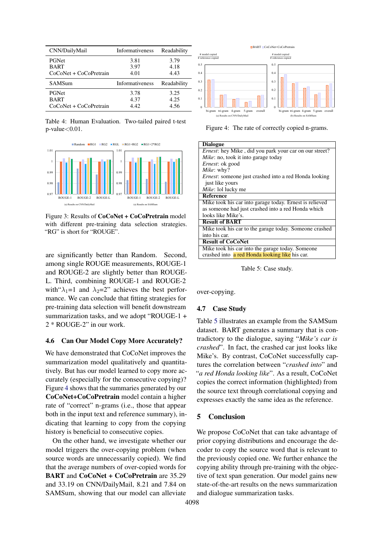<span id="page-7-0"></span>

| CNN/DailyMail          | Informativeness        | Readability |
|------------------------|------------------------|-------------|
| <b>PGNet</b>           | 3.81                   | 3.79        |
| <b>BART</b>            | 3.97                   | 4.18        |
| CoCoNet + CoCoPretrain | 4.01                   | 4.43        |
| SAMSum                 | <b>Informativeness</b> | Readability |
|                        |                        |             |
| <b>PGNet</b>           | 3.78                   | 3.25        |
| <b>BART</b>            | 4.37                   | 4.25        |

Table 4: Human Evaluation. Two-tailed paired t-test  $p$ -value $< 0.01$ .

<span id="page-7-1"></span>

Figure 3: Results of CoCoNet + CoCoPretrain model with different pre-training data selection strategies. "RG" is short for "ROUGE".

are significantly better than Random. Second, among single ROUGE measurements, ROUGE-1 and ROUGE-2 are slightly better than ROUGE-L. Third, combining ROUGE-1 and ROUGE-2 with  $\lambda_1=1$  and  $\lambda_2=2$ " achieves the best performance. We can conclude that fitting strategies for pre-training data selection will benefit downstream summarization tasks, and we adopt "ROUGE-1 + 2 \* ROUGE-2" in our work.

# 4.6 Can Our Model Copy More Accurately?

We have demonstrated that CoCoNet improves the summarization model qualitatively and quantitatively. But has our model learned to copy more accurately (especially for the consecutive copying)? Figure [4](#page-7-2) shows that the summaries generated by our CoCoNet+CoCoPretrain model contain a higher rate of "correct" n-grams (i.e., those that appear both in the input text and reference summary), indicating that learning to copy from the copying history is beneficial to consecutive copies.

On the other hand, we investigate whether our model triggers the over-copying problem (when source words are unnecessarily copied). We find that the average numbers of over-copied words for BART and CoCoNet + CoCoPretrain are 35.29 and 33.19 on CNN/DailyMail, 8.21 and 7.84 on SAMSum, showing that our model can alleviate

<span id="page-7-2"></span>

Figure 4: The rate of correctly copied n-grams.

<span id="page-7-3"></span>

| <b>Dialogue</b>                                         |
|---------------------------------------------------------|
| Ernest: hey Mike, did you park your car on our street?  |
| Mike: no, took it into garage today                     |
| <i>Ernest</i> : ok good                                 |
| <i>Mike</i> : why?                                      |
| Ernest: someone just crashed into a red Honda looking   |
| just like yours                                         |
| Mike: lol lucky me                                      |
| <b>Reference</b>                                        |
| Mike took his car into garage today. Ernest is relieved |
| as someone had just crashed into a red Honda which      |
| looks like Mike's.                                      |
| <b>Result of BART</b>                                   |
| Mike took his car to the garage today. Someone crashed  |
| into his car.                                           |
| <b>Result of CoCoNet</b>                                |
| Mike took his car into the garage today. Someone        |
| crashed into a red Honda looking like his car.          |

Table 5: Case study.

over-copying.

#### 4.7 Case Study

Table [5](#page-7-3) illustrates an example from the SAMSum dataset. BART generates a summary that is contradictory to the dialogue, saying "*Mike's car is crashed*". In fact, the crashed car just looks like Mike's. By contrast, CoCoNet successfully captures the correlation between "*crashed into*" and "*a red Honda looking like*". As a result, CoCoNet copies the correct information (highlighted) from the source text through correlational copying and expresses exactly the same idea as the reference.

#### 5 Conclusion

We propose CoCoNet that can take advantage of prior copying distributions and encourage the decoder to copy the source word that is relevant to the previously copied one. We further enhance the copying ability through pre-training with the objective of text span generation. Our model gains new state-of-the-art results on the news summarization and dialogue summarization tasks.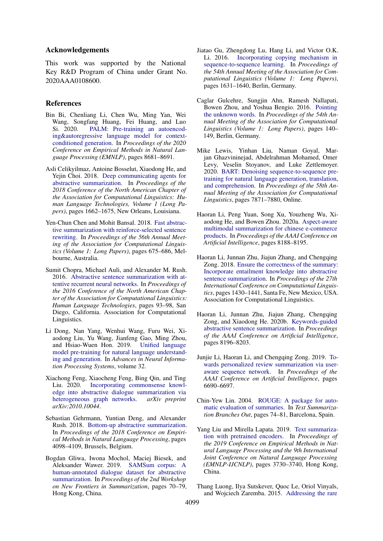#### Acknowledgements

This work was supported by the National Key R&D Program of China under Grant No. 2020AAA0108600.

#### References

- <span id="page-8-9"></span>Bin Bi, Chenliang Li, Chen Wu, Ming Yan, Wei Wang, Songfang Huang, Fei Huang, and Luo Si. 2020. [PALM: Pre-training an autoencod](https://www.aclweb.org/anthology/2020.emnlp-main.700)[ing&autoregressive language model for context](https://www.aclweb.org/anthology/2020.emnlp-main.700)[conditioned generation.](https://www.aclweb.org/anthology/2020.emnlp-main.700) In *Proceedings of the 2020 Conference on Empirical Methods in Natural Language Processing (EMNLP)*, pages 8681–8691.
- <span id="page-8-14"></span>Asli Celikyilmaz, Antoine Bosselut, Xiaodong He, and Yejin Choi. 2018. [Deep communicating agents for](https://doi.org/10.18653/v1/N18-1150) [abstractive summarization.](https://doi.org/10.18653/v1/N18-1150) In *Proceedings of the 2018 Conference of the North American Chapter of the Association for Computational Linguistics: Human Language Technologies, Volume 1 (Long Papers)*, pages 1662–1675, New Orleans, Louisiana.
- <span id="page-8-16"></span>Yen-Chun Chen and Mohit Bansal. 2018. [Fast abstrac](https://doi.org/10.18653/v1/P18-1063)[tive summarization with reinforce-selected sentence](https://doi.org/10.18653/v1/P18-1063) [rewriting.](https://doi.org/10.18653/v1/P18-1063) In *Proceedings of the 56th Annual Meeting of the Association for Computational Linguistics (Volume 1: Long Papers)*, pages 675–686, Melbourne, Australia.
- <span id="page-8-0"></span>Sumit Chopra, Michael Auli, and Alexander M. Rush. 2016. [Abstractive sentence summarization with at](https://doi.org/10.18653/v1/N16-1012)[tentive recurrent neural networks.](https://doi.org/10.18653/v1/N16-1012) In *Proceedings of the 2016 Conference of the North American Chapter of the Association for Computational Linguistics: Human Language Technologies*, pages 93–98, San Diego, California. Association for Computational Linguistics.
- <span id="page-8-10"></span>Li Dong, Nan Yang, Wenhui Wang, Furu Wei, Xiaodong Liu, Yu Wang, Jianfeng Gao, Ming Zhou, and Hsiao-Wuen Hon. 2019. [Unified language](https://proceedings.neurips.cc/paper/2019/file/c20bb2d9a50d5ac1f713f8b34d9aac5a-Paper.pdf) [model pre-training for natural language understand](https://proceedings.neurips.cc/paper/2019/file/c20bb2d9a50d5ac1f713f8b34d9aac5a-Paper.pdf)[ing and generation.](https://proceedings.neurips.cc/paper/2019/file/c20bb2d9a50d5ac1f713f8b34d9aac5a-Paper.pdf) In *Advances in Neural Information Processing Systems*, volume 32.
- <span id="page-8-17"></span>Xiachong Feng, Xiaocheng Feng, Bing Qin, and Ting Liu. 2020. [Incorporating commonsense knowl](https://arxiv.org/abs/2010.10044)[edge into abstractive dialogue summarization via](https://arxiv.org/abs/2010.10044) [heterogeneous graph networks.](https://arxiv.org/abs/2010.10044) *arXiv preprint arXiv:2010.10044*.
- <span id="page-8-13"></span>Sebastian Gehrmann, Yuntian Deng, and Alexander Rush. 2018. [Bottom-up abstractive summarization.](https://doi.org/10.18653/v1/D18-1443) In *Proceedings of the 2018 Conference on Empirical Methods in Natural Language Processing*, pages 4098–4109, Brussels, Belgium.
- <span id="page-8-12"></span>Bogdan Gliwa, Iwona Mochol, Maciej Biesek, and Aleksander Wawer. 2019. [SAMSum corpus: A](https://doi.org/10.18653/v1/D19-5409) [human-annotated dialogue dataset for abstractive](https://doi.org/10.18653/v1/D19-5409) [summarization.](https://doi.org/10.18653/v1/D19-5409) In *Proceedings of the 2nd Workshop on New Frontiers in Summarization*, pages 70–79, Hong Kong, China.
- <span id="page-8-6"></span>Jiatao Gu, Zhengdong Lu, Hang Li, and Victor O.K. Li. 2016. [Incorporating copying mechanism in](https://doi.org/10.18653/v1/P16-1154) [sequence-to-sequence learning.](https://doi.org/10.18653/v1/P16-1154) In *Proceedings of the 54th Annual Meeting of the Association for Computational Linguistics (Volume 1: Long Papers)*, pages 1631–1640, Berlin, Germany.
- <span id="page-8-5"></span>Caglar Gulcehre, Sungjin Ahn, Ramesh Nallapati, Bowen Zhou, and Yoshua Bengio. 2016. [Pointing](https://doi.org/10.18653/v1/P16-1014) [the unknown words.](https://doi.org/10.18653/v1/P16-1014) In *Proceedings of the 54th Annual Meeting of the Association for Computational Linguistics (Volume 1: Long Papers)*, pages 140– 149, Berlin, Germany.
- <span id="page-8-11"></span>Mike Lewis, Yinhan Liu, Naman Goyal, Marjan Ghazvininejad, Abdelrahman Mohamed, Omer Levy, Veselin Stoyanov, and Luke Zettlemoyer. 2020. [BART: Denoising sequence-to-sequence pre](https://doi.org/10.18653/v1/2020.acl-main.703)[training for natural language generation, translation,](https://doi.org/10.18653/v1/2020.acl-main.703) [and comprehension.](https://doi.org/10.18653/v1/2020.acl-main.703) In *Proceedings of the 58th Annual Meeting of the Association for Computational Linguistics*, pages 7871–7880, Online.
- <span id="page-8-3"></span>Haoran Li, Peng Yuan, Song Xu, Youzheng Wu, Xiaodong He, and Bowen Zhou. 2020a. [Aspect-aware](https://ojs.aaai.org/index.php/AAAI/article/view/6332) [multimodal summarization for chinese e-commerce](https://ojs.aaai.org/index.php/AAAI/article/view/6332) [products.](https://ojs.aaai.org/index.php/AAAI/article/view/6332) In *Proceedings of the AAAI Conference on Artificial Intelligence*, pages 8188–8195.
- <span id="page-8-1"></span>Haoran Li, Junnan Zhu, Jiajun Zhang, and Chengqing Zong. 2018. [Ensure the correctness of the summary:](https://aclanthology.org/C18-1121) [Incorporate entailment knowledge into abstractive](https://aclanthology.org/C18-1121) [sentence summarization.](https://aclanthology.org/C18-1121) In *Proceedings of the 27th International Conference on Computational Linguistics*, pages 1430–1441, Santa Fe, New Mexico, USA. Association for Computational Linguistics.
- <span id="page-8-4"></span>Haoran Li, Junnan Zhu, Jiajun Zhang, Chengqing Zong, and Xiaodong He. 2020b. [Keywords-guided](https://ojs.aaai.org/index.php/AAAI/article/view/6333) [abstractive sentence summarization.](https://ojs.aaai.org/index.php/AAAI/article/view/6333) In *Proceedings of the AAAI Conference on Artificial Intelligence*, pages 8196–8203.
- <span id="page-8-2"></span>Junjie Li, Haoran Li, and Chengqing Zong. 2019. [To](https://ojs.aaai.org/index.php/AAAI/article/view/4640)[wards personalized review summarization via user](https://ojs.aaai.org/index.php/AAAI/article/view/4640)[aware sequence network.](https://ojs.aaai.org/index.php/AAAI/article/view/4640) In *Proceedings of the AAAI Conference on Artificial Intelligence*, pages 6690–6697.
- <span id="page-8-7"></span>Chin-Yew Lin. 2004. [ROUGE: A package for auto](https://www.aclweb.org/anthology/W04-1013)[matic evaluation of summaries.](https://www.aclweb.org/anthology/W04-1013) In *Text Summarization Branches Out*, pages 74–81, Barcelona, Spain.
- <span id="page-8-15"></span>Yang Liu and Mirella Lapata. 2019. [Text summariza](https://doi.org/10.18653/v1/D19-1387)[tion with pretrained encoders.](https://doi.org/10.18653/v1/D19-1387) In *Proceedings of the 2019 Conference on Empirical Methods in Natural Language Processing and the 9th International Joint Conference on Natural Language Processing (EMNLP-IJCNLP)*, pages 3730–3740, Hong Kong, China.
- <span id="page-8-8"></span>Thang Luong, Ilya Sutskever, Quoc Le, Oriol Vinyals, and Wojciech Zaremba. 2015. [Addressing the rare](https://doi.org/10.3115/v1/P15-1002)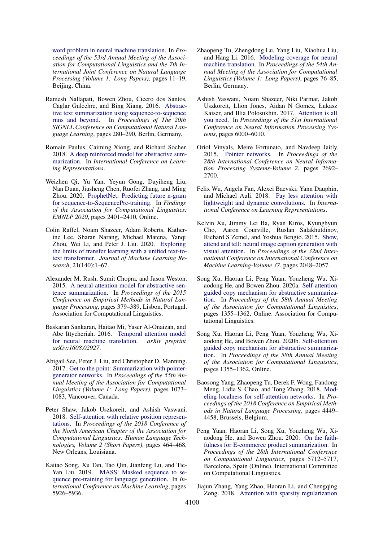[word problem in neural machine translation.](https://doi.org/10.3115/v1/P15-1002) In *Proceedings of the 53rd Annual Meeting of the Association for Computational Linguistics and the 7th International Joint Conference on Natural Language Processing (Volume 1: Long Papers)*, pages 11–19, Beijing, China.

- <span id="page-9-10"></span>Ramesh Nallapati, Bowen Zhou, Cicero dos Santos, Caglar Gulcehre, and Bing Xiang. 2016. [Abstrac](https://doi.org/10.18653/v1/K16-1028)[tive text summarization using sequence-to-sequence](https://doi.org/10.18653/v1/K16-1028) [rnns and beyond.](https://doi.org/10.18653/v1/K16-1028) In *Proceedings of The 20th SIGNLL Conference on Computational Natural Language Learning*, pages 280–290, Berlin, Germany.
- <span id="page-9-15"></span>Romain Paulus, Caiming Xiong, and Richard Socher. 2018. [A deep reinforced model for abstractive sum](https://openreview.net/forum?id=HkAClQgA-)[marization.](https://openreview.net/forum?id=HkAClQgA-) In *International Conference on Learning Representations*.
- <span id="page-9-17"></span>Weizhen Qi, Yu Yan, Yeyun Gong, Dayiheng Liu, Nan Duan, Jiusheng Chen, Ruofei Zhang, and Ming Zhou. 2020. [ProphetNet: Predicting future n-gram](https://doi.org/10.18653/v1/2020.findings-emnlp.217) [for sequence-to-SequencePre-training.](https://doi.org/10.18653/v1/2020.findings-emnlp.217) In *Findings of the Association for Computational Linguistics: EMNLP 2020*, pages 2401–2410, Online.
- <span id="page-9-16"></span>Colin Raffel, Noam Shazeer, Adam Roberts, Katherine Lee, Sharan Narang, Michael Matena, Yanqi Zhou, Wei Li, and Peter J. Liu. 2020. [Exploring](http://jmlr.org/papers/v21/20-074.html) [the limits of transfer learning with a unified text-to](http://jmlr.org/papers/v21/20-074.html)[text transformer.](http://jmlr.org/papers/v21/20-074.html) *Journal of Machine Learning Research*, 21(140):1–67.
- <span id="page-9-0"></span>Alexander M. Rush, Sumit Chopra, and Jason Weston. 2015. [A neural attention model for abstractive sen](https://doi.org/10.18653/v1/D15-1044)[tence summarization.](https://doi.org/10.18653/v1/D15-1044) In *Proceedings of the 2015 Conference on Empirical Methods in Natural Language Processing*, pages 379–389, Lisbon, Portugal. Association for Computational Linguistics.
- <span id="page-9-9"></span>Baskaran Sankaran, Haitao Mi, Yaser Al-Onaizan, and Abe Ittycheriah. 2016. [Temporal attention model](https://arxiv.org/abs/1608.02927) [for neural machine translation.](https://arxiv.org/abs/1608.02927) *arXiv preprint arXiv:1608.02927*.
- <span id="page-9-4"></span>Abigail See, Peter J. Liu, and Christopher D. Manning. 2017. [Get to the point: Summarization with pointer](https://doi.org/10.18653/v1/P17-1099)[generator networks.](https://doi.org/10.18653/v1/P17-1099) In *Proceedings of the 55th Annual Meeting of the Association for Computational Linguistics (Volume 1: Long Papers)*, pages 1073– 1083, Vancouver, Canada.
- <span id="page-9-13"></span>Peter Shaw, Jakob Uszkoreit, and Ashish Vaswani. 2018. [Self-attention with relative position represen](https://doi.org/10.18653/v1/N18-2074)[tations.](https://doi.org/10.18653/v1/N18-2074) In *Proceedings of the 2018 Conference of the North American Chapter of the Association for Computational Linguistics: Human Language Technologies, Volume 2 (Short Papers)*, pages 464–468, New Orleans, Louisiana.
- <span id="page-9-14"></span>Kaitao Song, Xu Tan, Tao Qin, Jianfeng Lu, and Tie-Yan Liu. 2019. [MASS: Masked sequence to se](http://proceedings.mlr.press/v97/song19d.html)[quence pre-training for language generation.](http://proceedings.mlr.press/v97/song19d.html) In *International Conference on Machine Learning*, pages 5926–5936.
- <span id="page-9-12"></span>Zhaopeng Tu, Zhengdong Lu, Yang Liu, Xiaohua Liu, and Hang Li. 2016. [Modeling coverage for neural](https://doi.org/10.18653/v1/P16-1008) [machine translation.](https://doi.org/10.18653/v1/P16-1008) In *Proceedings of the 54th Annual Meeting of the Association for Computational Linguistics (Volume 1: Long Papers)*, pages 76–85, Berlin, Germany.
- <span id="page-9-5"></span>Ashish Vaswani, Noam Shazeer, Niki Parmar, Jakob Uszkoreit, Llion Jones, Aidan N Gomez, Łukasz Kaiser, and Illia Polosukhin. 2017. [Attention is all](https://dl.acm.org/doi/pdf/10.5555/3295222.3295349) [you need.](https://dl.acm.org/doi/pdf/10.5555/3295222.3295349) In *Proceedings of the 31st International Conference on Neural Information Processing Systems*, pages 6000–6010.
- <span id="page-9-8"></span>Oriol Vinyals, Meire Fortunato, and Navdeep Jaitly. 2015. [Pointer networks.](https://dl.acm.org/doi/abs/10.5555/2969442.2969540) In *Proceedings of the 28th International Conference on Neural Information Processing Systems-Volume 2*, pages 2692– 2700.
- <span id="page-9-18"></span>Felix Wu, Angela Fan, Alexei Baevski, Yann Dauphin, and Michael Auli. 2018. [Pay less attention with](https://openreview.net/forum?id=SkVhlh09tX) [lightweight and dynamic convolutions.](https://openreview.net/forum?id=SkVhlh09tX) In *International Conference on Learning Representations*.
- <span id="page-9-11"></span>Kelvin Xu, Jimmy Lei Ba, Ryan Kiros, Kyunghyun Cho, Aaron Courville, Ruslan Salakhutdinov, Richard S Zemel, and Yoshua Bengio. 2015. [Show,](http://proceedings.mlr.press/v37/xuc15) [attend and tell: neural image caption generation with](http://proceedings.mlr.press/v37/xuc15) [visual attention.](http://proceedings.mlr.press/v37/xuc15) In *Proceedings of the 32nd International Conference on International Conference on Machine Learning-Volume 37*, pages 2048–2057.
- <span id="page-9-2"></span>Song Xu, Haoran Li, Peng Yuan, Youzheng Wu, Xiaodong He, and Bowen Zhou. 2020a. [Self-attention](https://doi.org/10.18653/v1/2020.acl-main.125) [guided copy mechanism for abstractive summariza](https://doi.org/10.18653/v1/2020.acl-main.125)[tion.](https://doi.org/10.18653/v1/2020.acl-main.125) In *Proceedings of the 58th Annual Meeting of the Association for Computational Linguistics*, pages 1355–1362, Online. Association for Computational Linguistics.
- <span id="page-9-6"></span>Song Xu, Haoran Li, Peng Yuan, Youzheng Wu, Xiaodong He, and Bowen Zhou. 2020b. [Self-attention](https://doi.org/10.18653/v1/2020.acl-main.125) [guided copy mechanism for abstractive summariza](https://doi.org/10.18653/v1/2020.acl-main.125)[tion.](https://doi.org/10.18653/v1/2020.acl-main.125) In *Proceedings of the 58th Annual Meeting of the Association for Computational Linguistics*, pages 1355–1362, Online.
- <span id="page-9-7"></span>Baosong Yang, Zhaopeng Tu, Derek F. Wong, Fandong Meng, Lidia S. Chao, and Tong Zhang. 2018. [Mod](https://doi.org/10.18653/v1/D18-1475)[eling localness for self-attention networks.](https://doi.org/10.18653/v1/D18-1475) In *Proceedings of the 2018 Conference on Empirical Methods in Natural Language Processing*, pages 4449– 4458, Brussels, Belgium.
- <span id="page-9-3"></span>Peng Yuan, Haoran Li, Song Xu, Youzheng Wu, Xiaodong He, and Bowen Zhou. 2020. [On the faith](https://doi.org/10.18653/v1/2020.coling-main.502)[fulness for E-commerce product summarization.](https://doi.org/10.18653/v1/2020.coling-main.502) In *Proceedings of the 28th International Conference on Computational Linguistics*, pages 5712–5717, Barcelona, Spain (Online). International Committee on Computational Linguistics.
- <span id="page-9-1"></span>Jiajun Zhang, Yang Zhao, Haoran Li, and Chengqing Zong. 2018. [Attention with sparsity regularization](https://ieeexplore.ieee.org/abstract/document/8550728)